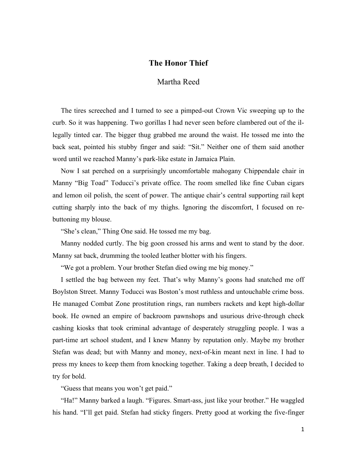## **The Honor Thief**

## Martha Reed

The tires screeched and I turned to see a pimped-out Crown Vic sweeping up to the curb. So it was happening. Two gorillas I had never seen before clambered out of the illegally tinted car. The bigger thug grabbed me around the waist. He tossed me into the back seat, pointed his stubby finger and said: "Sit." Neither one of them said another word until we reached Manny's park-like estate in Jamaica Plain.

Now I sat perched on a surprisingly uncomfortable mahogany Chippendale chair in Manny "Big Toad" Toducci's private office. The room smelled like fine Cuban cigars and lemon oil polish, the scent of power. The antique chair's central supporting rail kept cutting sharply into the back of my thighs. Ignoring the discomfort, I focused on rebuttoning my blouse.

"She's clean," Thing One said. He tossed me my bag.

Manny nodded curtly. The big goon crossed his arms and went to stand by the door. Manny sat back, drumming the tooled leather blotter with his fingers.

"We got a problem. Your brother Stefan died owing me big money."

I settled the bag between my feet. That's why Manny's goons had snatched me off Boylston Street. Manny Toducci was Boston's most ruthless and untouchable crime boss. He managed Combat Zone prostitution rings, ran numbers rackets and kept high-dollar book. He owned an empire of backroom pawnshops and usurious drive-through check cashing kiosks that took criminal advantage of desperately struggling people. I was a part-time art school student, and I knew Manny by reputation only. Maybe my brother Stefan was dead; but with Manny and money, next-of-kin meant next in line. I had to press my knees to keep them from knocking together. Taking a deep breath, I decided to try for bold.

"Guess that means you won't get paid."

"Ha!" Manny barked a laugh. "Figures. Smart-ass, just like your brother." He waggled his hand. "I'll get paid. Stefan had sticky fingers. Pretty good at working the five-finger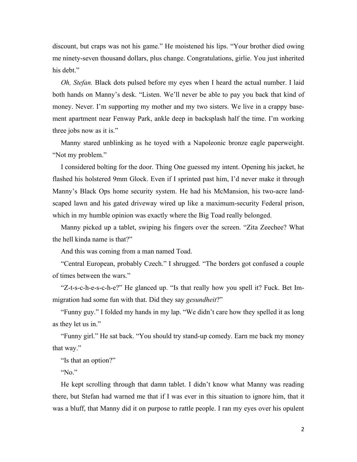discount, but craps was not his game." He moistened his lips. "Your brother died owing me ninety-seven thousand dollars, plus change. Congratulations, girlie. You just inherited his debt."

*Oh, Stefan.* Black dots pulsed before my eyes when I heard the actual number. I laid both hands on Manny's desk. "Listen. We'll never be able to pay you back that kind of money. Never. I'm supporting my mother and my two sisters. We live in a crappy basement apartment near Fenway Park, ankle deep in backsplash half the time. I'm working three jobs now as it is."

Manny stared unblinking as he toyed with a Napoleonic bronze eagle paperweight. "Not my problem."

I considered bolting for the door. Thing One guessed my intent. Opening his jacket, he flashed his holstered 9mm Glock. Even if I sprinted past him, I'd never make it through Manny's Black Ops home security system. He had his McMansion, his two-acre landscaped lawn and his gated driveway wired up like a maximum-security Federal prison, which in my humble opinion was exactly where the Big Toad really belonged.

Manny picked up a tablet, swiping his fingers over the screen. "Zita Zeechee? What the hell kinda name is that?"

And this was coming from a man named Toad.

"Central European, probably Czech." I shrugged. "The borders got confused a couple of times between the wars."

"Z-t-s-c-h-e-s-c-h-e?" He glanced up. "Is that really how you spell it? Fuck. Bet Immigration had some fun with that. Did they say *gesundheit*?"

"Funny guy." I folded my hands in my lap. "We didn't care how they spelled it as long as they let us in."

"Funny girl." He sat back. "You should try stand-up comedy. Earn me back my money that way."

"Is that an option?"

"No."

He kept scrolling through that damn tablet. I didn't know what Manny was reading there, but Stefan had warned me that if I was ever in this situation to ignore him, that it was a bluff, that Manny did it on purpose to rattle people. I ran my eyes over his opulent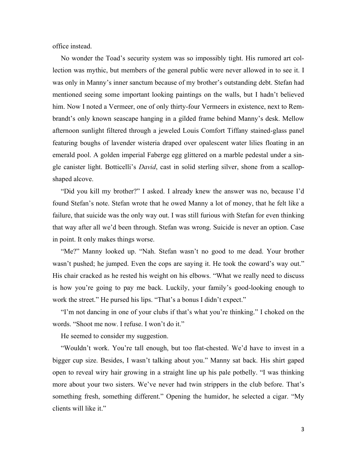office instead.

No wonder the Toad's security system was so impossibly tight. His rumored art collection was mythic, but members of the general public were never allowed in to see it. I was only in Manny's inner sanctum because of my brother's outstanding debt. Stefan had mentioned seeing some important looking paintings on the walls, but I hadn't believed him. Now I noted a Vermeer, one of only thirty-four Vermeers in existence, next to Rembrandt's only known seascape hanging in a gilded frame behind Manny's desk. Mellow afternoon sunlight filtered through a jeweled Louis Comfort Tiffany stained-glass panel featuring boughs of lavender wisteria draped over opalescent water lilies floating in an emerald pool. A golden imperial Faberge egg glittered on a marble pedestal under a single canister light. Botticelli's *David*, cast in solid sterling silver, shone from a scallopshaped alcove.

"Did you kill my brother?" I asked. I already knew the answer was no, because I'd found Stefan's note. Stefan wrote that he owed Manny a lot of money, that he felt like a failure, that suicide was the only way out. I was still furious with Stefan for even thinking that way after all we'd been through. Stefan was wrong. Suicide is never an option. Case in point. It only makes things worse.

"Me?" Manny looked up. "Nah. Stefan wasn't no good to me dead. Your brother wasn't pushed; he jumped. Even the cops are saying it. He took the coward's way out." His chair cracked as he rested his weight on his elbows. "What we really need to discuss is how you're going to pay me back. Luckily, your family's good-looking enough to work the street." He pursed his lips. "That's a bonus I didn't expect."

"I'm not dancing in one of your clubs if that's what you're thinking." I choked on the words. "Shoot me now. I refuse. I won't do it."

He seemed to consider my suggestion.

"Wouldn't work. You're tall enough, but too flat-chested. We'd have to invest in a bigger cup size. Besides, I wasn't talking about you." Manny sat back. His shirt gaped open to reveal wiry hair growing in a straight line up his pale potbelly. "I was thinking more about your two sisters. We've never had twin strippers in the club before. That's something fresh, something different." Opening the humidor, he selected a cigar. "My clients will like it."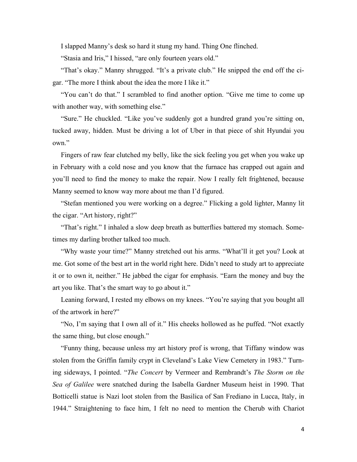I slapped Manny's desk so hard it stung my hand. Thing One flinched.

"Stasia and Iris," I hissed, "are only fourteen years old."

"That's okay." Manny shrugged. "It's a private club." He snipped the end off the cigar. "The more I think about the idea the more I like it."

"You can't do that." I scrambled to find another option. "Give me time to come up with another way, with something else."

"Sure." He chuckled. "Like you've suddenly got a hundred grand you're sitting on, tucked away, hidden. Must be driving a lot of Uber in that piece of shit Hyundai you own."

Fingers of raw fear clutched my belly, like the sick feeling you get when you wake up in February with a cold nose and you know that the furnace has crapped out again and you'll need to find the money to make the repair. Now I really felt frightened, because Manny seemed to know way more about me than I'd figured.

"Stefan mentioned you were working on a degree." Flicking a gold lighter, Manny lit the cigar. "Art history, right?"

"That's right." I inhaled a slow deep breath as butterflies battered my stomach. Sometimes my darling brother talked too much.

"Why waste your time?" Manny stretched out his arms. "What'll it get you? Look at me. Got some of the best art in the world right here. Didn't need to study art to appreciate it or to own it, neither." He jabbed the cigar for emphasis. "Earn the money and buy the art you like. That's the smart way to go about it."

Leaning forward, I rested my elbows on my knees. "You're saying that you bought all of the artwork in here?"

"No, I'm saying that I own all of it." His cheeks hollowed as he puffed. "Not exactly the same thing, but close enough."

"Funny thing, because unless my art history prof is wrong, that Tiffany window was stolen from the Griffin family crypt in Cleveland's Lake View Cemetery in 1983." Turning sideways, I pointed. "*The Concert* by Vermeer and Rembrandt's *The Storm on the Sea of Galilee* were snatched during the Isabella Gardner Museum heist in 1990. That Botticelli statue is Nazi loot stolen from the Basilica of San Frediano in Lucca, Italy, in 1944." Straightening to face him, I felt no need to mention the Cherub with Chariot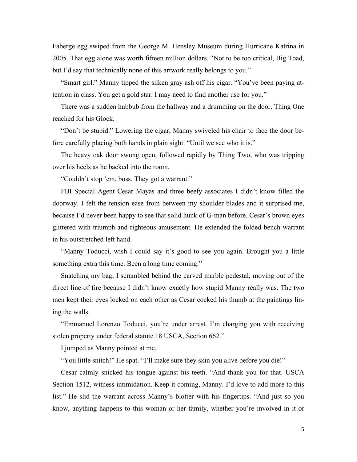Faberge egg swiped from the George M. Hensley Museum during Hurricane Katrina in 2005. That egg alone was worth fifteen million dollars. "Not to be too critical, Big Toad, but I'd say that technically none of this artwork really belongs to you."

"Smart girl." Manny tipped the silken gray ash off his cigar. "You've been paying attention in class. You get a gold star. I may need to find another use for you."

There was a sudden hubbub from the hallway and a drumming on the door. Thing One reached for his Glock.

"Don't be stupid." Lowering the cigar, Manny swiveled his chair to face the door before carefully placing both hands in plain sight. "Until we see who it is."

The heavy oak door swung open, followed rapidly by Thing Two, who was tripping over his heels as he backed into the room.

"Couldn't stop 'em, boss. They got a warrant."

FBI Special Agent Cesar Mayas and three beefy associates I didn't know filled the doorway. I felt the tension ease from between my shoulder blades and it surprised me, because I'd never been happy to see that solid hunk of G-man before. Cesar's brown eyes glittered with triumph and righteous amusement. He extended the folded bench warrant in his outstretched left hand.

"Manny Toducci, wish I could say it's good to see you again. Brought you a little something extra this time. Been a long time coming."

Snatching my bag, I scrambled behind the carved marble pedestal, moving out of the direct line of fire because I didn't know exactly how stupid Manny really was. The two men kept their eyes locked on each other as Cesar cocked his thumb at the paintings lining the walls.

"Emmanuel Lorenzo Toducci, you're under arrest. I'm charging you with receiving stolen property under federal statute 18 USCA, Section 662."

I jumped as Manny pointed at me.

"You little snitch!" He spat. "I'll make sure they skin you alive before you die!"

Cesar calmly snicked his tongue against his teeth. "And thank you for that. USCA Section 1512, witness intimidation. Keep it coming, Manny. I'd love to add more to this list." He slid the warrant across Manny's blotter with his fingertips. "And just so you know, anything happens to this woman or her family, whether you're involved in it or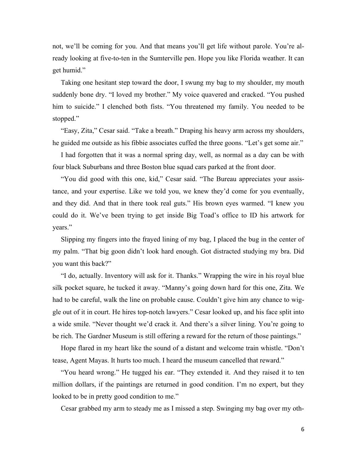not, we'll be coming for you. And that means you'll get life without parole. You're already looking at five-to-ten in the Sumterville pen. Hope you like Florida weather. It can get humid."

Taking one hesitant step toward the door, I swung my bag to my shoulder, my mouth suddenly bone dry. "I loved my brother." My voice quavered and cracked. "You pushed him to suicide." I clenched both fists. "You threatened my family. You needed to be stopped."

"Easy, Zita," Cesar said. "Take a breath." Draping his heavy arm across my shoulders, he guided me outside as his fibbie associates cuffed the three goons. "Let's get some air."

I had forgotten that it was a normal spring day, well, as normal as a day can be with four black Suburbans and three Boston blue squad cars parked at the front door.

"You did good with this one, kid," Cesar said. "The Bureau appreciates your assistance, and your expertise. Like we told you, we knew they'd come for you eventually, and they did. And that in there took real guts." His brown eyes warmed. "I knew you could do it. We've been trying to get inside Big Toad's office to ID his artwork for years."

Slipping my fingers into the frayed lining of my bag, I placed the bug in the center of my palm. "That big goon didn't look hard enough. Got distracted studying my bra. Did you want this back?"

"I do, actually. Inventory will ask for it. Thanks." Wrapping the wire in his royal blue silk pocket square, he tucked it away. "Manny's going down hard for this one, Zita. We had to be careful, walk the line on probable cause. Couldn't give him any chance to wiggle out of it in court. He hires top-notch lawyers." Cesar looked up, and his face split into a wide smile. "Never thought we'd crack it. And there's a silver lining. You're going to be rich. The Gardner Museum is still offering a reward for the return of those paintings."

Hope flared in my heart like the sound of a distant and welcome train whistle. "Don't tease, Agent Mayas. It hurts too much. I heard the museum cancelled that reward."

"You heard wrong." He tugged his ear. "They extended it. And they raised it to ten million dollars, if the paintings are returned in good condition. I'm no expert, but they looked to be in pretty good condition to me."

Cesar grabbed my arm to steady me as I missed a step. Swinging my bag over my oth-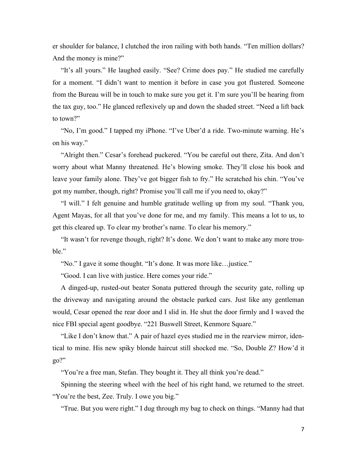er shoulder for balance, I clutched the iron railing with both hands. "Ten million dollars? And the money is mine?"

"It's all yours." He laughed easily. "See? Crime does pay." He studied me carefully for a moment. "I didn't want to mention it before in case you got flustered. Someone from the Bureau will be in touch to make sure you get it. I'm sure you'll be hearing from the tax guy, too." He glanced reflexively up and down the shaded street. "Need a lift back to town?"

"No, I'm good." I tapped my iPhone. "I've Uber'd a ride. Two-minute warning. He's on his way."

"Alright then." Cesar's forehead puckered. "You be careful out there, Zita. And don't worry about what Manny threatened. He's blowing smoke. They'll close his book and leave your family alone. They've got bigger fish to fry." He scratched his chin. "You've got my number, though, right? Promise you'll call me if you need to, okay?"

"I will." I felt genuine and humble gratitude welling up from my soul. "Thank you, Agent Mayas, for all that you've done for me, and my family. This means a lot to us, to get this cleared up. To clear my brother's name. To clear his memory."

"It wasn't for revenge though, right? It's done. We don't want to make any more trouble."

"No." I gave it some thought. "It's done. It was more like…justice."

"Good. I can live with justice. Here comes your ride."

A dinged-up, rusted-out beater Sonata puttered through the security gate, rolling up the driveway and navigating around the obstacle parked cars. Just like any gentleman would, Cesar opened the rear door and I slid in. He shut the door firmly and I waved the nice FBI special agent goodbye. "221 Buswell Street, Kenmore Square."

"Like I don't know that." A pair of hazel eyes studied me in the rearview mirror, identical to mine. His new spiky blonde haircut still shocked me. "So, Double Z? How'd it go?"

"You're a free man, Stefan. They bought it. They all think you're dead."

Spinning the steering wheel with the heel of his right hand, we returned to the street. "You're the best, Zee. Truly. I owe you big."

"True. But you were right." I dug through my bag to check on things. "Manny had that